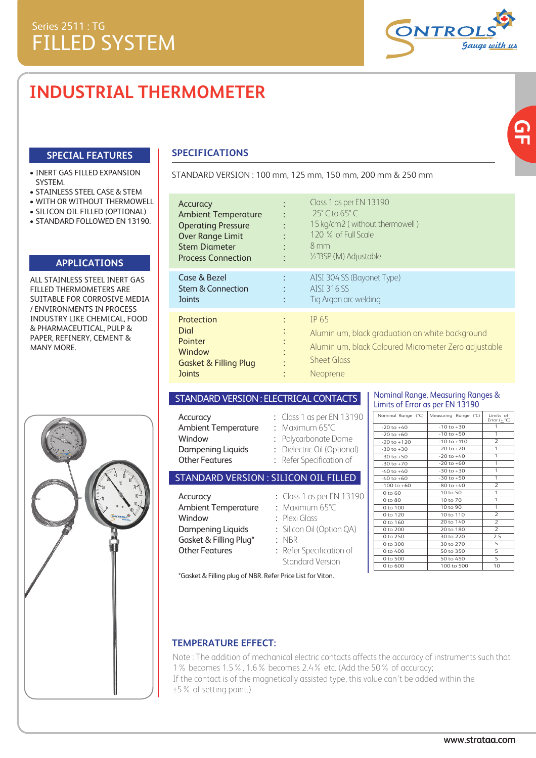# **INDUSTRIAL THERMOMETER**

### **SPECIAL FEATURES**

#### • INERT GAS FILLED EXPANSION SYSTEM.

- STAINLESS STEEL CASE & STEM
- WITH OR WITHOUT THERMOWELL
- SILICON OIL FILLED (OPTIONAL)
- STANDARD FOLLOWED EN 13190.

### **APPLICATIONS**

ALL STAINLESS STEEL INERT GAS FILLED THERMOMETERS ARE SUITABLE FOR CORROSIVE MEDIA / ENVIRONMENTS IN PROCESS INDUSTRY LIKE CHEMICAL, FOOD & PHARMACEUTICAL, PULP & PAPER, REFINERY, CEMENT & MANY MORE.



### **SPECIFICATIONS**

STANDARD VERSION : 100 mm, 125 mm, 150 mm, 200 mm & 250 mm

| Accuracy<br><b>Ambient Temperature</b><br><b>Operating Pressure</b><br><b>Over Range Limit</b><br><b>Stem Diameter</b><br><b>Process Connection</b> | ٠         | Class 1 as per EN 13190<br>$-25^\circ$ C to 65 $^\circ$ C<br>15 kg/cm2 (without thermowell)<br>120 % of Full Scale<br>$8 \,\mathrm{mm}$<br>1/2"BSP (M) Adjustable |
|-----------------------------------------------------------------------------------------------------------------------------------------------------|-----------|-------------------------------------------------------------------------------------------------------------------------------------------------------------------|
| Case & Bezel<br><b>Stem &amp; Connection</b><br><b>Joints</b>                                                                                       | ÷<br>٠    | AISI 304 SS (Bayonet Type)<br>AISI 316 SS<br>Tig Argon arc welding                                                                                                |
| Protection<br>Dial<br>Pointer<br>Window<br><b>Gasket &amp; Filling Plug</b><br><b>Joints</b>                                                        | $\bullet$ | IP 65<br>Aluminium, black graduation on white background<br>Aluminium, black Coloured Micrometer Zero adjustable<br><b>Sheet Glass</b><br>Neoprene                |

#### STANDARD VERSION : ELECTRICAL CONTACTS

| Accuracy                       | : Class 1 as per EN 13190   |
|--------------------------------|-----------------------------|
| <b>Ambient Temperature</b>     | $:$ Maximum 65°C            |
| Window                         | : Polycarbonate Dome        |
| Dampening Liquids              | : Dielectric Oil (Optional) |
| <b>Other Features</b>          | : Refer Specification of    |
| ITANNARN VERSION • SILICON OIL |                             |

### STANDARD VERSION : SILICON OIL FILLED

| Accuracy                   | : Class 1 as per EN 13190 |
|----------------------------|---------------------------|
| <b>Ambient Temperature</b> | $:$ Maximum 65°C          |
| Window                     | $:$ Plexi Glass           |
| Dampening Liquids          | : Silicon Oil (Option QA) |
| Gasket & Filling Plug*     | $:$ NBR                   |
| <b>Other Features</b>      | : Refer Specification of  |
|                            | <b>Standard Version</b>   |

#### Nominal Range, Measuring Ranges & Limits of Error as per EN 13190

| Nominal Range (°C)  | Measuring Range (°C) | Limits of<br>Error $(\pm$ °C) |
|---------------------|----------------------|-------------------------------|
| $-20$ to $+40$      | $-10$ to $+30$       | 1                             |
| $-20$ to $+60$      | $-10$ to $+50$       | 1                             |
| $-20$ to $+120$     | $-10$ to $+110$      | $\overline{2}$                |
| $-30$ to $+30$      | $-20$ to $+20$       | 1                             |
| $-30$ to $+50$      | $-20$ to $+40$       | 1                             |
| $-30$ to $+70$      | $-20$ to $+60$       | 1                             |
| $-40$ to $+40$      | $-30$ to $+30$       | 1                             |
| $-40$ to $+60$      | $-30$ to $+50$       | 1                             |
| $-100$ to $+60$     | $-80$ to $+40$       | $\overline{2}$                |
| 0 to 60             | 10 to 50             | 1                             |
| 0 to 80             | 10 to 70             | 1                             |
| 0 to 100            | 10 to 90             | 1                             |
| 0 to 120            | 10 to 110            | $\overline{2}$                |
| 0 to 160            | 20 to 140            | $\overline{2}$                |
| 0 to 200            | 20 to 180            | $\overline{2}$                |
| 0 to 250            | 30 to 220            | 2.5                           |
| 0 to 300            | 30 to 270            | 5                             |
| 0 to 400            | 50 to 350            | 5                             |
| 0 to 500            | 50 to 450            | 5                             |
| $0 \text{ to } 600$ | 100 to 500           | 10                            |

\*Gasket & Filling plug of NBR. Refer Price List for Viton.

#### **TEMPERATURE EFFECT:**

Note : The addition of mechanical electric contacts affects the accuracy of instruments such that 1% becomes 1.5%, 1.6% becomes 2.4% etc. (Add the 50% of accuracy; If the contact is of the magnetically assisted type, this value can't be added within the ±5% of setting point.)



<u>ፍ</u><br>አ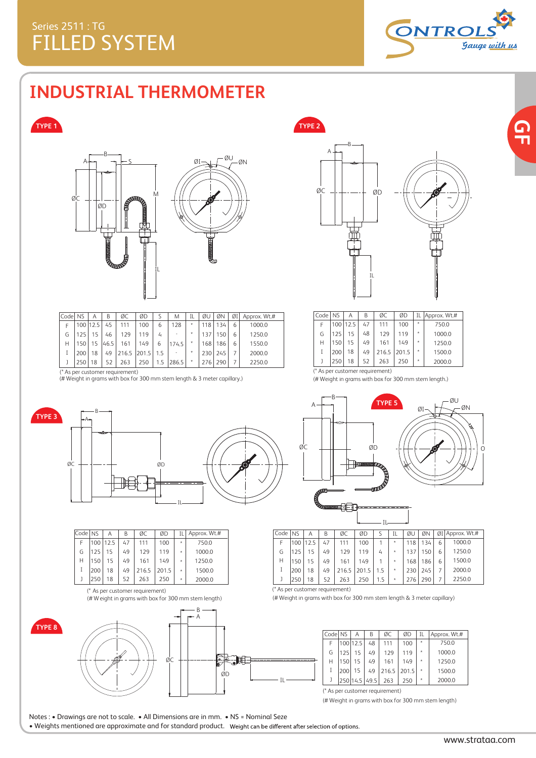

## **INDUSTRIAL THERMOMETER**

### **TYPE 1**



| Codel NS |     | А          | В    | ØC                              | ØD    |     | M                        | IL      | ØU               | ØΝ  | ØI | Approx. Wt.# | Codel | <b>NS</b>        | Α    |    | ØC                              |
|----------|-----|------------|------|---------------------------------|-------|-----|--------------------------|---------|------------------|-----|----|--------------|-------|------------------|------|----|---------------------------------|
|          |     | 100   12.5 | 45   | 111                             | 100   |     | 128                      | $\star$ | 118 <sup>1</sup> | 134 | h  | 1000.0       |       | 100 <sub>1</sub> | 12.5 | 47 | 111                             |
| G        |     | 15         | 46   | 129                             | 119   | Ц   | $\overline{\phantom{a}}$ |         | 137              | 150 |    | 1250.0       | (٦    | 125              |      | 48 | 129                             |
| н        | 50  | 15         | 46.5 | 161                             | 149   | b   | 174.5                    |         | 1681             | 186 | h  | 1550.0       | Н     | 150 <sub>1</sub> | 15   | 49 | 161                             |
|          | 200 | 18         | 49   | 216.5                           | 201.5 | 1.5 |                          | $\star$ | 230              | 245 |    | 2000.0       |       | 200              | 18   | 49 | 216.5                           |
|          | 250 | 18         | 52   | 263                             | 250   | 1.5 | 286.5                    | $\star$ | 276              | 290 |    | 2250.0       |       | 250              | 18   |    | 263                             |
|          |     |            |      | (* As per customer requirement) |       |     |                          |         |                  |     |    |              |       |                  |      |    | (* As per customer requirement) |

(# Weight in grams with box for 300 mm stem length & 3 meter capillary.) (# Weight in grams with box for 300 mm stem length.)



**TYPE 2**

 $\omega_{\text{max}}$ 

| Code I | <b>NS</b> | Α        | В  | ØC          | ØD  | IL.     | Approx. Wt.# |
|--------|-----------|----------|----|-------------|-----|---------|--------------|
| F      |           | 100 12.5 | 47 | 111         | 100 | $\star$ | 750.0        |
| G      | 125       | 15       | 48 | 129         | 119 | $\star$ | 1000.0       |
| Н      | 150       | 15       | 49 | 161         | 149 | $\star$ | 1250.0       |
|        | 200       | 18       | 49 | 216.5 201.5 |     | $\star$ | 1500.0       |
|        | 250       | 18       | 52 | 263         | 250 | $\star$ | 2000.0       |
| .      |           |          |    |             |     |         |              |



| Code   NS |     | Α        | В  | ØC    | ØD    |   | Approx. Wt.# |
|-----------|-----|----------|----|-------|-------|---|--------------|
| F         |     | 100 12.5 | 47 | 111   | 100   | ÷ | 750.0        |
| G         | 125 | 15       | 49 | 129   | 119   | ٠ | 1000.0       |
| Н         | 150 | 15       | 49 | 161   | 149   | ÷ | 1250.0       |
|           | 200 | 18       | 49 | 216.5 | 201.5 | ÷ | 1500.0       |
|           | 250 | 18       | 52 | 263   | 250   | ÷ | 2000.0       |



Notes : • Drawings are not to scale. • All Dimensions are in mm. • NS = Nominal Seze









| Code   NS | Α  | B         | ØC    | ØD    | S   | IL | ØU  | ØΝ  |   | $\emptyset$ I Approx. Wt.# |
|-----------|----|-----------|-------|-------|-----|----|-----|-----|---|----------------------------|
|           |    | 47        | 111   | 100   |     | ÷  | 118 | 134 | 6 | 1000.0                     |
| 125       | 15 | 49        | 129   | 119   | 4   | ÷  | 137 | 150 | 6 | 1250.0                     |
| 150       | 15 | 49        | 161   | 149   |     | ÷  | 168 | 186 | 6 | 1500.0                     |
| 200       | 18 | 49        | 216.5 | 201.5 | 15  | ÷  | 230 | 245 |   | 2000.0                     |
| 250       | 18 | 52        | 263   | 250   | 1.5 | ÷  | 276 | 290 |   | 2250.0                     |
|           |    | 100 112.5 |       |       |     |    |     |     |   |                            |

(\* As per customer requirement)

IL

(# Weight in grams with box for 300 mm stem length & 3 meter capillary)

|   |     | Α       | В        | ØС            | ØD    | ΙL    | Approx. Wt.# |
|---|-----|---------|----------|---------------|-------|-------|--------------|
| F |     |         | 48       | 111           | 100   | ÷     | 750.0        |
| G | 125 | 15      | 49       | 129           | 119   | ÷     | 1000.0       |
| Н | 150 | 15      | 49       | 161           | 149   | ÷     | 1250.0       |
| Ī | 200 | 15      | 49       |               | 201.5 | ÷     | 1500.0       |
|   |     |         |          | 263           | 250   | ÷     | 2000.0       |
|   |     | Code NS | 100 12.5 | 250 14.5 49.5 |       | 216.5 |              |

(\* As per customer requirement)

(# Weight in grams with box for 300 mm stem length)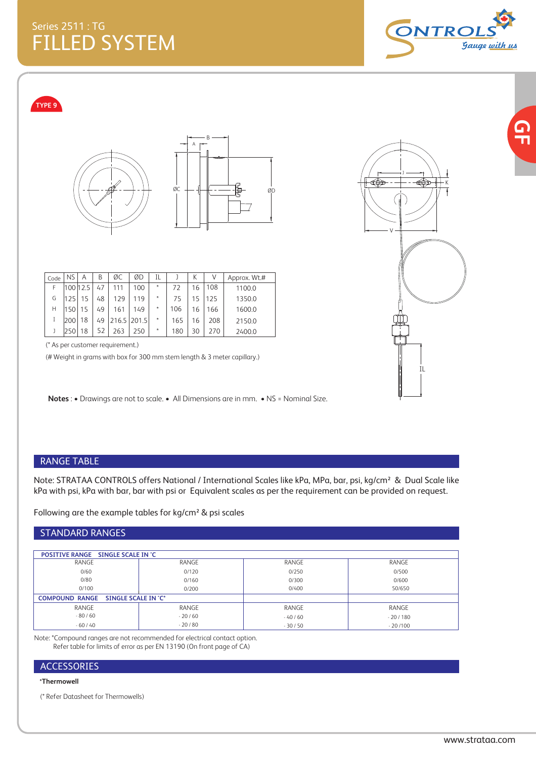**DNTRC** <u>Gauge with us</u>

**TYPE 9**





| Code | <b>NS</b> | Α  | В  | ØC          | ØD  | ΙL      |     | К  |     | Approx. Wt.# |
|------|-----------|----|----|-------------|-----|---------|-----|----|-----|--------------|
| F    | 10012.5   |    | 47 |             | 100 | ÷       | 72  | 16 | 108 | 1100.0       |
| G    | 125       | 15 | 48 | 129         | 119 | $\ast$  | 75  | 15 | 125 | 1350.0       |
| Н    | 150       |    | 49 | 161         | 149 | $\ast$  | 106 | 16 | 166 | 1600.0       |
|      | 200       | 18 | 49 | 216.5 201.5 |     | $\star$ | 165 | 16 | 208 | 2150.0       |
|      | 250       | 18 | 52 | 263         | 250 | $\ast$  | 180 | 30 | 270 | 2400.0       |

(\* As per customer requirement.)

(# Weight in grams with box for 300 mm stem length & 3 meter capillary.)

**Notes** : • Drawings are not to scale. • All Dimensions are in mm. • NS = Nominal Size.



### RANGE TABLE

Note: STRATAA CONTROLS offers National / International Scales like kPa, MPa, bar, psi, kg/cm² & Dual Scale like kPa with psi, kPa with bar, bar with psi or Equivalent scales as per the requirement can be provided on request.

Following are the example tables for kg/cm² & psi scales

#### STANDARD RANGES

| <b>POSITIVE RANGE SINGLE SCALE IN °C</b>     |          |          |           |
|----------------------------------------------|----------|----------|-----------|
| RANGE                                        | RANGE    | RANGE    | RANGE     |
| 0/60                                         | 0/120    | 0/250    | 0/500     |
| 0/80                                         | 0/160    | 0/300    | 0/600     |
| 0/100                                        | 0/200    | 0/400    | 50/650    |
| SINGLE SCALE IN 'C*<br><b>COMPOUND RANGE</b> |          |          |           |
| RANGE                                        | RANGE    | RANGE    | RANGE     |
| $-80/60$                                     | $-20/60$ | $-40/60$ | $-20/180$ |
| $-60/40$                                     | $-20/80$ | $-30/50$ | $-20/100$ |

Note: \*Compound ranges are not recommended for electrical contact option. Refer table for limits of error as per EN 13190 (On front page of CA)

### ACCESSORIES

#### **\*Thermowell**

(\* Refer Datasheet for Thermowells)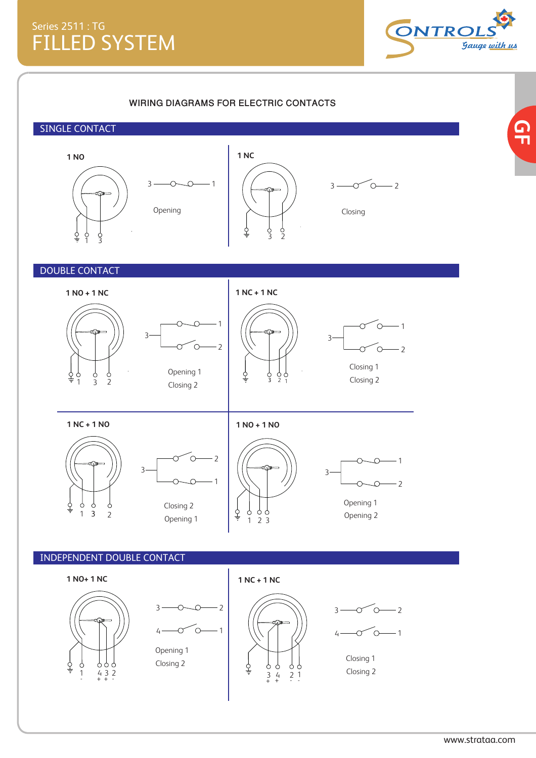

 $\frac{\mathsf{C}}{\mathsf{L}}$